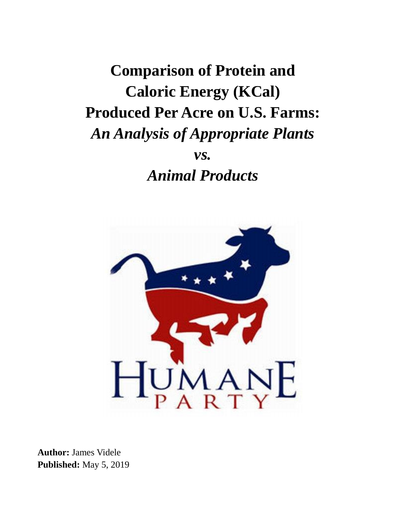**Comparison of Protein and Caloric Energy (KCal) Produced Per Acre on U.S. Farms:** *An Analysis of Appropriate Plants vs. Animal Products*



**Author:** James Videle **Published:** May 5, 2019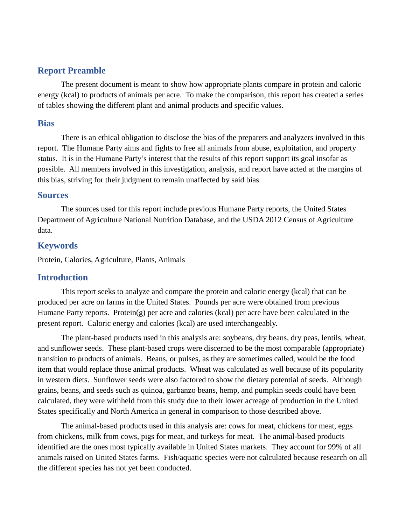### **Report Preamble**

The present document is meant to show how appropriate plants compare in protein and caloric energy (kcal) to products of animals per acre. To make the comparison, this report has created a series of tables showing the different plant and animal products and specific values.

#### **Bias**

There is an ethical obligation to disclose the bias of the preparers and analyzers involved in this report. The Humane Party aims and fights to free all animals from abuse, exploitation, and property status. It is in the Humane Party's interest that the results of this report support its goal insofar as possible. All members involved in this investigation, analysis, and report have acted at the margins of this bias, striving for their judgment to remain unaffected by said bias.

#### **Sources**

The sources used for this report include previous Humane Party reports, the United States Department of Agriculture National Nutrition Database, and the USDA 2012 Census of Agriculture data.

## **Keywords**

Protein, Calories, Agriculture, Plants, Animals

## **Introduction**

This report seeks to analyze and compare the protein and caloric energy (kcal) that can be produced per acre on farms in the United States. Pounds per acre were obtained from previous Humane Party reports. Protein(g) per acre and calories (kcal) per acre have been calculated in the present report. Caloric energy and calories (kcal) are used interchangeably.

The plant-based products used in this analysis are: soybeans, dry beans, dry peas, lentils, wheat, and sunflower seeds. These plant-based crops were discerned to be the most comparable (appropriate) transition to products of animals. Beans, or pulses, as they are sometimes called, would be the food item that would replace those animal products. Wheat was calculated as well because of its popularity in western diets. Sunflower seeds were also factored to show the dietary potential of seeds. Although grains, beans, and seeds such as quinoa, garbanzo beans, hemp, and pumpkin seeds could have been calculated, they were withheld from this study due to their lower acreage of production in the United States specifically and North America in general in comparison to those described above.

The animal-based products used in this analysis are: cows for meat, chickens for meat, eggs from chickens, milk from cows, pigs for meat, and turkeys for meat. The animal-based products identified are the ones most typically available in United States markets. They account for 99% of all animals raised on United States farms. Fish/aquatic species were not calculated because research on all the different species has not yet been conducted.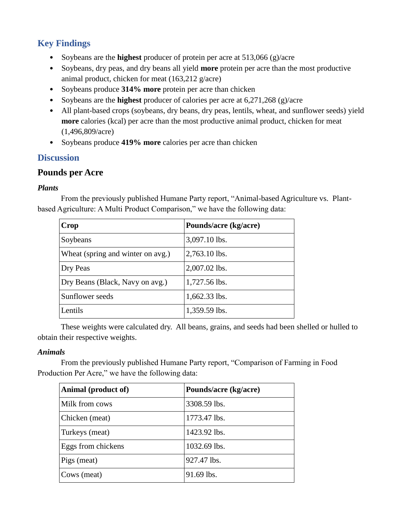# **Key Findings**

- Soybeans are the **highest** producer of protein per acre at 513,066 (g)/acre
- Soybeans, dry peas, and dry beans all yield **more** protein per acre than the most productive animal product, chicken for meat (163,212 g/acre)
- Soybeans produce **314% more** protein per acre than chicken
- Soybeans are the **highest** producer of calories per acre at 6,271,268 (g)/acre
- All plant-based crops (soybeans, dry beans, dry peas, lentils, wheat, and sunflower seeds) yield **more** calories (kcal) per acre than the most productive animal product, chicken for meat (1,496,809/acre)
- Soybeans produce **419% more** calories per acre than chicken

# **Discussion**

# **Pounds per Acre**

## *Plants*

From the previously published Humane Party report, "Animal-based Agriculture vs. Plantbased Agriculture: A Multi Product Comparison," we have the following data:

| Crop                              | Pounds/acre (kg/acre) |
|-----------------------------------|-----------------------|
| Soybeans                          | 3,097.10 lbs.         |
| Wheat (spring and winter on avg.) | 2,763.10 lbs.         |
| Dry Peas                          | 2,007.02 lbs.         |
| Dry Beans (Black, Navy on avg.)   | 1,727.56 lbs.         |
| Sunflower seeds                   | 1,662.33 lbs.         |
| Lentils                           | 1,359.59 lbs.         |

These weights were calculated dry. All beans, grains, and seeds had been shelled or hulled to obtain their respective weights.

## *Animals*

From the previously published Humane Party report, "Comparison of Farming in Food Production Per Acre," we have the following data:

| Animal (product of) | Pounds/acre (kg/acre) |
|---------------------|-----------------------|
| Milk from cows      | 3308.59 lbs.          |
| Chicken (meat)      | 1773.47 lbs.          |
| Turkeys (meat)      | 1423.92 lbs.          |
| Eggs from chickens  | 1032.69 lbs.          |
| Pigs (meat)         | 927.47 lbs.           |
| Cows (meat)         | 91.69 lbs.            |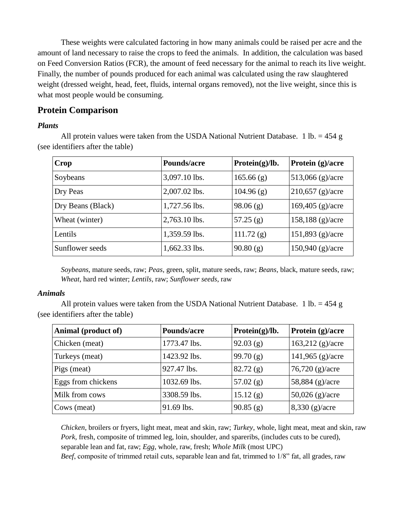These weights were calculated factoring in how many animals could be raised per acre and the amount of land necessary to raise the crops to feed the animals. In addition, the calculation was based on Feed Conversion Ratios (FCR), the amount of feed necessary for the animal to reach its live weight. Finally, the number of pounds produced for each animal was calculated using the raw slaughtered weight (dressed weight, head, feet, fluids, internal organs removed), not the live weight, since this is what most people would be consuming.

## **Protein Comparison**

#### *Plants*

All protein values were taken from the USDA National Nutrient Database. 1 lb. =  $454 \text{ g}$ (see identifiers after the table)

| Crop              | Pounds/acre   | Protein $(g)/lb.$ | Protein (g)/acre          |
|-------------------|---------------|-------------------|---------------------------|
| Soybeans          | 3,097.10 lbs. | 165.66(g)         | 513,066 $(g)/\text{acre}$ |
| Dry Peas          | 2,007.02 lbs. | 104.96(g)         | $210,657$ (g)/acre        |
| Dry Beans (Black) | 1,727.56 lbs. | 98.06(g)          | $169,405$ (g)/acre        |
| Wheat (winter)    | 2,763.10 lbs. | 57.25(g)          | $158,188$ (g)/acre        |
| Lentils           | 1,359.59 lbs. | 111.72(g)         | $151,893$ (g)/acre        |
| Sunflower seeds   | 1,662.33 lbs. | 90.80(g)          | $150,940$ (g)/acre        |

*Soybeans*, mature seeds, raw; *Peas*, green, split, mature seeds, raw; *Beans,* black, mature seeds, raw; *Wheat*, hard red winter; *Lentils*, raw; *Sunflower seeds*, raw

#### *Animals*

All protein values were taken from the USDA National Nutrient Database. 1 lb. =  $454 \text{ g}$ (see identifiers after the table)

| Animal (product of) | Pounds/acre  | Protein $(g)/lb.$ | Protein (g)/acre          |
|---------------------|--------------|-------------------|---------------------------|
| Chicken (meat)      | 1773.47 lbs. | 92.03(g)          | $163,212$ (g)/acre        |
| Turkeys (meat)      | 1423.92 lbs. | 99.70(g)          | 141,965 $(g)/\text{acre}$ |
| Pigs (meat)         | 927.47 lbs.  | 82.72(g)          | $76,720$ (g)/acre         |
| Eggs from chickens  | 1032.69 lbs. | 57.02 $(g)$       | $58,884$ (g)/acre         |
| Milk from cows      | 3308.59 lbs. | 15.12(g)          | $50,026$ (g)/acre         |
| Cows (meat)         | 91.69 lbs.   | 90.85(g)          | $8,330$ (g)/acre          |

*Chicken*, broilers or fryers, light meat, meat and skin, raw; *Turkey*, whole, light meat, meat and skin, raw *Pork*, fresh, composite of trimmed leg, loin, shoulder, and spareribs, (includes cuts to be cured), separable lean and fat, raw; *Egg,* whole, raw, fresh; *Whole Milk* (most UPC)

*Beef*, composite of trimmed retail cuts, separable lean and fat, trimmed to 1/8" fat, all grades, raw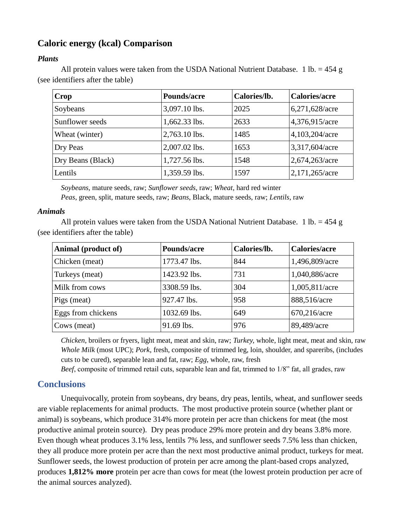# **Caloric energy (kcal) Comparison**

## *Plants*

All protein values were taken from the USDA National Nutrient Database. 1 lb. =  $454 g$ (see identifiers after the table)

| Crop              | Pounds/acre   | Calories/lb. | <b>Calories/acre</b> |
|-------------------|---------------|--------------|----------------------|
| Soybeans          | 3,097.10 lbs. | 2025         | 6,271,628/acre       |
| Sunflower seeds   | 1,662.33 lbs. | 2633         | 4,376,915/acre       |
| Wheat (winter)    | 2,763.10 lbs. | 1485         | 4,103,204/acre       |
| Dry Peas          | 2,007.02 lbs. | 1653         | 3,317,604/acre       |
| Dry Beans (Black) | 1,727.56 lbs. | 1548         | 2,674,263/acre       |
| Lentils           | 1,359.59 lbs. | 1597         | 2,171,265/acre       |

*Soybeans,* mature seeds, raw; *Sunflower seeds*, raw; *Wheat*, hard red winter *Peas*, green, split, mature seeds, raw; *Beans*, Black, mature seeds, raw; *Lentils*, raw

#### *Animals*

All protein values were taken from the USDA National Nutrient Database. 1 lb. =  $454 \text{ g}$ (see identifiers after the table)

| Animal (product of) | Pounds/acre  | Calories/lb. | <b>Calories/acre</b> |
|---------------------|--------------|--------------|----------------------|
| Chicken (meat)      | 1773.47 lbs. | 844          | 1,496,809/acre       |
| Turkeys (meat)      | 1423.92 lbs. | 731          | 1,040,886/acre       |
| Milk from cows      | 3308.59 lbs. | 304          | 1,005,811/acre       |
| Pigs (meat)         | 927.47 lbs.  | 958          | 888,516/acre         |
| Eggs from chickens  | 1032.69 lbs. | 649          | 670,216/acre         |
| Cows (meat)         | 91.69 lbs.   | 976          | 89,489/acre          |

*Chicken*, broilers or fryers, light meat, meat and skin, raw; *Turkey,* whole, light meat, meat and skin, raw *Whole Milk* (most UPC); *Pork*, fresh, composite of trimmed leg, loin, shoulder, and spareribs, (includes cuts to be cured), separable lean and fat, raw; *Egg*, whole, raw, fresh

*Beef*, composite of trimmed retail cuts, separable lean and fat, trimmed to 1/8" fat, all grades, raw

# **Conclusions**

Unequivocally, protein from soybeans, dry beans, dry peas, lentils, wheat, and sunflower seeds are viable replacements for animal products. The most productive protein source (whether plant or animal) is soybeans, which produce 314% more protein per acre than chickens for meat (the most productive animal protein source). Dry peas produce 29% more protein and dry beans 3.8% more. Even though wheat produces 3.1% less, lentils 7% less, and sunflower seeds 7.5% less than chicken, they all produce more protein per acre than the next most productive animal product, turkeys for meat. Sunflower seeds, the lowest production of protein per acre among the plant-based crops analyzed, produces **1,812% more** protein per acre than cows for meat (the lowest protein production per acre of the animal sources analyzed).